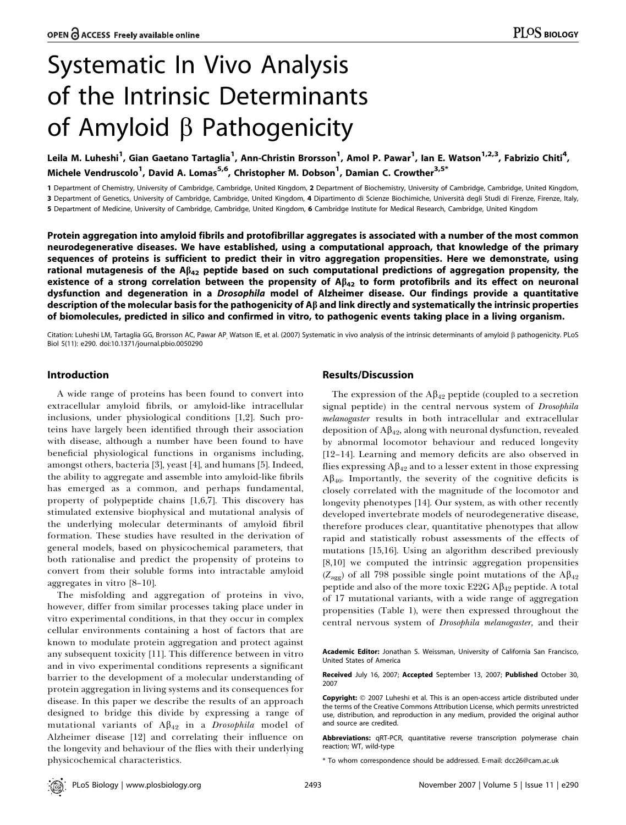# Systematic In Vivo Analysis of the Intrinsic Determinants of Amyloid  $\beta$  Pathogenicity

Leila M. Luheshi<sup>1</sup>, Gian Gaetano Tartaglia<sup>1</sup>, Ann-Christin Brorsson<sup>1</sup>, Amol P. Pawar<sup>1</sup>, Ian E. Watson<sup>1,2,3</sup>, Fabrizio Chiti<sup>4</sup>, Michele Vendruscolo<sup>1</sup>, David A. Lomas<sup>5,6</sup>, Christopher M. Dobson<sup>1</sup>, Damian C. Crowther<sup>3,5\*</sup>

1 Department of Chemistry, University of Cambridge, Cambridge, United Kingdom, 2 Department of Biochemistry, University of Cambridge, Cambridge, United Kingdom, 3 Department of Genetics, University of Cambridge, Cambridge, United Kingdom, 4 Dipartimento di Scienze Biochimiche, Università degli Studi di Firenze, Firenze, Italy, 5 Department of Medicine, University of Cambridge, Cambridge, United Kingdom, 6 Cambridge Institute for Medical Research, Cambridge, United Kingdom

Protein aggregation into amyloid fibrils and protofibrillar aggregates is associated with a number of the most common neurodegenerative diseases. We have established, using a computational approach, that knowledge of the primary sequences of proteins is sufficient to predict their in vitro aggregation propensities. Here we demonstrate, using rational mutagenesis of the  $A\beta_{42}$  peptide based on such computational predictions of aggregation propensity, the existence of a strong correlation between the propensity of  $A\beta_{42}$  to form protofibrils and its effect on neuronal dysfunction and degeneration in a Drosophila model of Alzheimer disease. Our findings provide a quantitative description of the molecular basis for the pathogenicity of  $A\beta$  and link directly and systematically the intrinsic properties of biomolecules, predicted in silico and confirmed in vitro, to pathogenic events taking place in a living organism.

Citation: Luheshi LM, Tartaglia GG, Brorsson AC, Pawar AP, Watson IE, et al. (2007) Systematic in vivo analysis of the intrinsic determinants of amyloid  $\beta$  pathogenicity. PLoS Biol 5(11): e290. doi:10.1371/journal.pbio.0050290

## Introduction

A wide range of proteins has been found to convert into extracellular amyloid fibrils, or amyloid-like intracellular inclusions, under physiological conditions [1,2]. Such proteins have largely been identified through their association with disease, although a number have been found to have beneficial physiological functions in organisms including, amongst others, bacteria [3], yeast [4], and humans [5]. Indeed, the ability to aggregate and assemble into amyloid-like fibrils has emerged as a common, and perhaps fundamental, property of polypeptide chains [1,6,7]. This discovery has stimulated extensive biophysical and mutational analysis of the underlying molecular determinants of amyloid fibril formation. These studies have resulted in the derivation of general models, based on physicochemical parameters, that both rationalise and predict the propensity of proteins to convert from their soluble forms into intractable amyloid aggregates in vitro [8–10].

The misfolding and aggregation of proteins in vivo, however, differ from similar processes taking place under in vitro experimental conditions, in that they occur in complex cellular environments containing a host of factors that are known to modulate protein aggregation and protect against any subsequent toxicity [11]. This difference between in vitro and in vivo experimental conditions represents a significant barrier to the development of a molecular understanding of protein aggregation in living systems and its consequences for disease. In this paper we describe the results of an approach designed to bridge this divide by expressing a range of mutational variants of  $A\beta_{42}$  in a *Drosophila* model of Alzheimer disease [12] and correlating their influence on the longevity and behaviour of the flies with their underlying physicochemical characteristics.

## Results/Discussion

The expression of the  $A\beta_{42}$  peptide (coupled to a secretion signal peptide) in the central nervous system of Drosophila melanogaster results in both intracellular and extracellular deposition of  $A\beta_{42}$ , along with neuronal dysfunction, revealed by abnormal locomotor behaviour and reduced longevity [12–14]. Learning and memory deficits are also observed in flies expressing  $A\beta_{42}$  and to a lesser extent in those expressing  $A\beta_{40}$ . Importantly, the severity of the cognitive deficits is closely correlated with the magnitude of the locomotor and longevity phenotypes [14]. Our system, as with other recently developed invertebrate models of neurodegenerative disease, therefore produces clear, quantitative phenotypes that allow rapid and statistically robust assessments of the effects of mutations [15,16]. Using an algorithm described previously [8,10] we computed the intrinsic aggregation propensities ( $Z_{\text{agg}}$ ) of all 798 possible single point mutations of the A $\beta_{42}$ peptide and also of the more toxic E22G  $\mathbf{A}\beta_{42}$  peptide. A total of 17 mutational variants, with a wide range of aggregation propensities (Table 1), were then expressed throughout the central nervous system of Drosophila melanogaster, and their

Academic Editor: Jonathan S. Weissman, University of California San Francisco, United States of America

Received July 16, 2007; Accepted September 13, 2007; Published October 30, 2007

Copyright: © 2007 Luheshi et al. This is an open-access article distributed under the terms of the Creative Commons Attribution License, which permits unrestricted use, distribution, and reproduction in any medium, provided the original author and source are credited.

Abbreviations: qRT-PCR, quantitative reverse transcription polymerase chain reaction; WT, wild-type

\* To whom correspondence should be addressed. E-mail: dcc26@cam.ac.uk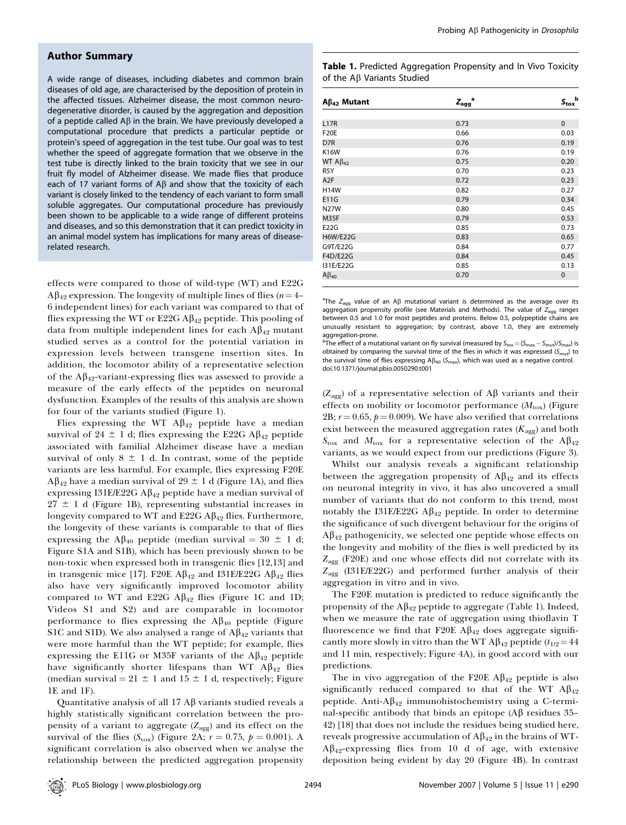## Author Summary

A wide range of diseases, including diabetes and common brain diseases of old age, are characterised by the deposition of protein in the affected tissues. Alzheimer disease, the most common neurodegenerative disorder, is caused by the aggregation and deposition of a peptide called A $\beta$  in the brain. We have previously developed a computational procedure that predicts a particular peptide or protein's speed of aggregation in the test tube. Our goal was to test whether the speed of aggregate formation that we observe in the test tube is directly linked to the brain toxicity that we see in our fruit fly model of Alzheimer disease. We made flies that produce each of 17 variant forms of A $\beta$  and show that the toxicity of each variant is closely linked to the tendency of each variant to form small soluble aggregates. Our computational procedure has previously been shown to be applicable to a wide range of different proteins and diseases, and so this demonstration that it can predict toxicity in an animal model system has implications for many areas of diseaserelated research.

effects were compared to those of wild-type (WT) and E22G  $A\beta_{42}$  expression. The longevity of multiple lines of flies ( $n=4-4$ 6 independent lines) for each variant was compared to that of flies expressing the WT or  $E22G \,\mathrm{A}\beta_{42}$  peptide. This pooling of data from multiple independent lines for each  $A\beta_{42}$  mutant studied serves as a control for the potential variation in expression levels between transgene insertion sites. In addition, the locomotor ability of a representative selection of the  $A\beta_{42}$ -variant-expressing flies was assessed to provide a measure of the early effects of the peptides on neuronal dysfunction. Examples of the results of this analysis are shown for four of the variants studied (Figure 1).

Flies expressing the WT  $A\beta_{42}$  peptide have a median survival of 24  $\pm$  1 d; flies expressing the E22G A $\beta_{42}$  peptide associated with familial Alzheimer disease have a median survival of only  $8 \pm 1$  d. In contrast, some of the peptide variants are less harmful. For example, flies expressing F20E  $A\beta_{42}$  have a median survival of 29  $\pm$  1 d (Figure 1A), and flies expressing I31E/E22G A $\beta_{42}$  peptide have a median survival of  $27 \pm 1$  d (Figure 1B), representing substantial increases in longevity compared to WT and E22G  $\mathcal{A}\beta_{42}$  flies. Furthermore, the longevity of these variants is comparable to that of flies expressing the A $\beta_{40}$  peptide (median survival = 30  $\pm$  1 d; Figure S1A and S1B), which has been previously shown to be non-toxic when expressed both in transgenic flies [12,13] and in transgenic mice [17]. F20E  $\mathbf{A}\mathbf{\beta}_{42}$  and I31E/E22G  $\mathbf{A}\mathbf{\beta}_{42}$  flies also have very significantly improved locomotor ability compared to WT and E22G  $\mathbf{A}\beta_{42}$  flies (Figure 1C and 1D; Videos S1 and S2) and are comparable in locomotor performance to flies expressing the  $A\beta_{40}$  peptide (Figure S1C and S1D). We also analysed a range of  $A\beta_{42}$  variants that were more harmful than the WT peptide; for example, flies expressing the E11G or M35F variants of the  $A\beta_{42}$  peptide have significantly shorter lifespans than WT  $\mathbf{A}\beta_{42}$  flies (median survival =  $21 \pm 1$  and  $15 \pm 1$  d, respectively; Figure 1E and 1F).

Quantitative analysis of all 17  $A\beta$  variants studied reveals a highly statistically significant correlation between the propensity of a variant to aggregate  $(Z_{\text{agg}})$  and its effect on the survival of the flies ( $S_{\text{tox}}$ ) (Figure 2A;  $r = 0.75$ ,  $p = 0.001$ ). A significant correlation is also observed when we analyse the relationship between the predicted aggregation propensity

Table 1. Predicted Aggregation Propensity and In Vivo Toxicity of the  $A\beta$  Variants Studied

| $A\beta_{42}$ Mutant        | а<br>$Z_{agg}$ | b<br>$S_{\rm{tox}}$ |
|-----------------------------|----------------|---------------------|
|                             |                |                     |
| L17R                        | 0.73           | $\mathbf{0}$        |
| <b>F20E</b>                 | 0.66           | 0.03                |
| D7R                         | 0.76           | 0.19                |
| <b>K16W</b>                 | 0.76           | 0.19                |
| WT $AB_{42}$                | 0.75           | 0.20                |
| R <sub>5</sub> Y            | 0.70           | 0.23                |
| A <sub>2</sub> F            | 0.72           | 0.23                |
| <b>H14W</b>                 | 0.82           | 0.27                |
| <b>E11G</b>                 | 0.79           | 0.34                |
| <b>N27W</b>                 | 0.80           | 0.45                |
| M35F                        | 0.79           | 0.53                |
| E22G                        | 0.85           | 0.73                |
| <b>H6W/E22G</b>             | 0.83           | 0.65                |
| G9T/E22G                    | 0.84           | 0.77                |
| F4D/E22G                    | 0.84           | 0.45                |
| 131E/E22G                   | 0.85           | 0.13                |
| $\mathsf{A}\mathsf{B}_{40}$ | 0.70           | $\mathbf{0}$        |

<sup>a</sup>The  $Z_{\text{agg}}$  value of an A $\beta$  mutational variant is determined as the average over its aggregation propensity profile (see Materials and Methods). The value of  $Z_{\text{aqq}}$  ranges between 0.5 and 1.0 for most peptides and proteins. Below 0.5, polypeptide chains are unusually resistant to aggregation; by contrast, above 1.0, they are extremely aggregation-prone.

<sup>b</sup>The effect of a mutational variant on fly survival (measured by  $S_{\text{tox}} = (S_{\text{max}} - S_{\text{mut}})/S_{\text{max}}$ ) is obtained by comparing the survival time of the flies in which it was expressed ( $S<sub>mut</sub>$ ) to the survival time of flies expressing  $A\beta_{40}$  (S<sub>max</sub>), which was used as a negative control. doi:10.1371/journal.pbio.0050290.t001

 $(Z_{\text{agg}})$  of a representative selection of A $\beta$  variants and their effects on mobility or locomotor performance  $(M_{\text{tox}})$  (Figure 2B;  $r = 0.65$ ,  $p = 0.009$ ). We have also verified that correlations exist between the measured aggregation rates  $(K_{\text{avg}})$  and both  $S_{\text{tox}}$  and  $M_{\text{tox}}$  for a representative selection of the A $\beta_{42}$ variants, as we would expect from our predictions (Figure 3).

Whilst our analysis reveals a significant relationship between the aggregation propensity of  $A\beta_{42}$  and its effects on neuronal integrity in vivo, it has also uncovered a small number of variants that do not conform to this trend, most notably the I31E/E22G  $\mathbf{A}\beta_{42}$  peptide. In order to determine the significance of such divergent behaviour for the origins of  $A\beta_{42}$  pathogenicity, we selected one peptide whose effects on the longevity and mobility of the flies is well predicted by its  $Z_{\text{agg}}$  (F20E) and one whose effects did not correlate with its  $Z_{\text{agg}}$  (I31E/E22G) and performed further analysis of their aggregation in vitro and in vivo.

The F20E mutation is predicted to reduce significantly the propensity of the  $A\beta_{42}$  peptide to aggregate (Table 1). Indeed, when we measure the rate of aggregation using thioflavin T fluorescence we find that F20E A $\beta_{42}$  does aggregate significantly more slowly in vitro than the WT A $\beta_{42}$  peptide ( $t_{1/2}$  = 44 and 11 min, respectively; Figure 4A), in good accord with our predictions.

The in vivo aggregation of the F20E  $\mathbf{A}\beta_{42}$  peptide is also significantly reduced compared to that of the WT  $\mathbf{A}\beta_{42}$ peptide. Anti-A $\beta_{42}$  immunohistochemistry using a C-terminal-specific antibody that binds an epitope (A $\beta$  residues 35– 42) [18] that does not include the residues being studied here, reveals progressive accumulation of  $A\beta_{42}$  in the brains of WT- $A\beta_{42}$ -expressing flies from 10 d of age, with extensive deposition being evident by day 20 (Figure 4B). In contrast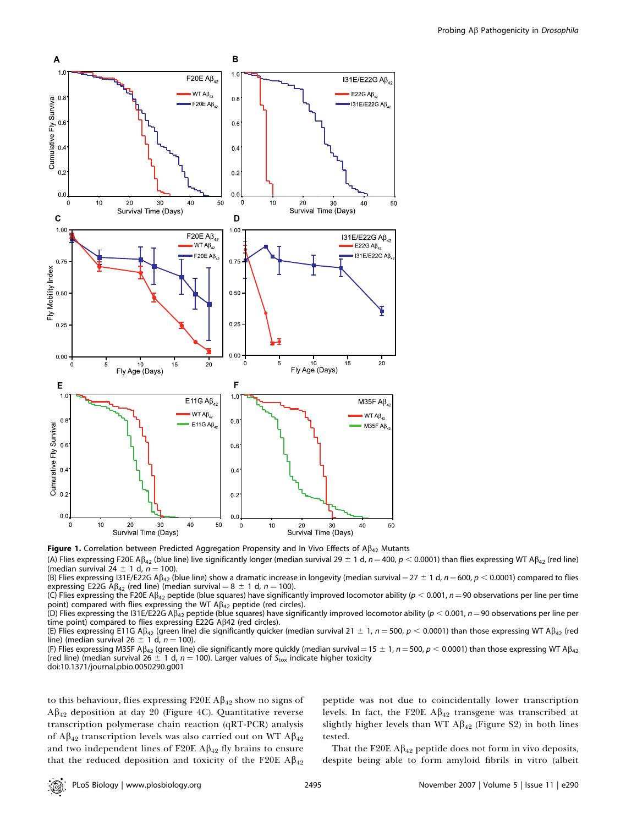

Figure 1. Correlation between Predicted Aggregation Propensity and In Vivo Effects of  $A\beta_{42}$  Mutants

(A) Flies expressing F20E A $\beta_{42}$  (blue line) live significantly longer (median survival 29  $\pm$  1 d,  $n = 400$ ,  $p < 0.0001$ ) than flies expressing WT A $\beta_{42}$  (red line) (median survival  $24 \pm 1$  d,  $n = 100$ ).

(B) Flies expressing I31E/E22G A $\beta_{42}$  (blue line) show a dramatic increase in longevity (median survival = 27  $\pm$  1 d, n = 600, p < 0.0001) compared to flies expressing E22G A $\beta_{42}$  (red line) (median survival = 8  $\pm$  1 d, n = 100).

(C) Flies expressing the F20E A $\beta_{42}$  peptide (blue squares) have significantly improved locomotor ability ( $p < 0.001$ ,  $n = 90$  observations per line per time point) compared with flies expressing the WT  $\mathsf{AB}_{42}$  peptide (red circles).

(D) Flies expressing the I31E/E22G A $\beta_{42}$  peptide (blue squares) have significantly improved locomotor ability ( $p < 0.001$ ,  $n = 90$  observations per line per time point) compared to flies expressing E22G A $\beta$ 42 (red circles).

(E) Flies expressing E11G A $\beta_{42}$  (green line) die significantly quicker (median survival 21  $\pm$  1, n = 500, p < 0.0001) than those expressing WT A $\beta_{42}$  (red line) (median survival 26  $\pm$  1 d, n = 100).

(F) Flies expressing M35F A $\beta_{42}$  (green line) die significantly more quickly (median survival = 15  $\pm$  1, n = 500, p < 0.0001) than those expressing WT A $\beta_{42}$ (red line) (median survival 26  $\pm$  1 d, n = 100). Larger values of  $S_{\text{tox}}$  indicate higher toxicity doi:10.1371/journal.pbio.0050290.g001

to this behaviour, flies expressing F20E  $\mathbf{A}\beta_{42}$  show no signs of  $A\beta_{42}$  deposition at day 20 (Figure 4C). Quantitative reverse transcription polymerase chain reaction (qRT-PCR) analysis of  $A\beta_{42}$  transcription levels was also carried out on WT  $A\beta_{42}$ and two independent lines of F20E  $\mathbf{A}\beta_{42}$  fly brains to ensure that the reduced deposition and toxicity of the F20E  $\mathbf{A}\beta_{42}$  peptide was not due to coincidentally lower transcription levels. In fact, the F20E  $\mathbf{A}\beta_{42}$  transgene was transcribed at slightly higher levels than WT  $A\beta_{42}$  (Figure S2) in both lines tested.

That the F20E  $\mathbf{A}\beta_{42}$  peptide does not form in vivo deposits, despite being able to form amyloid fibrils in vitro (albeit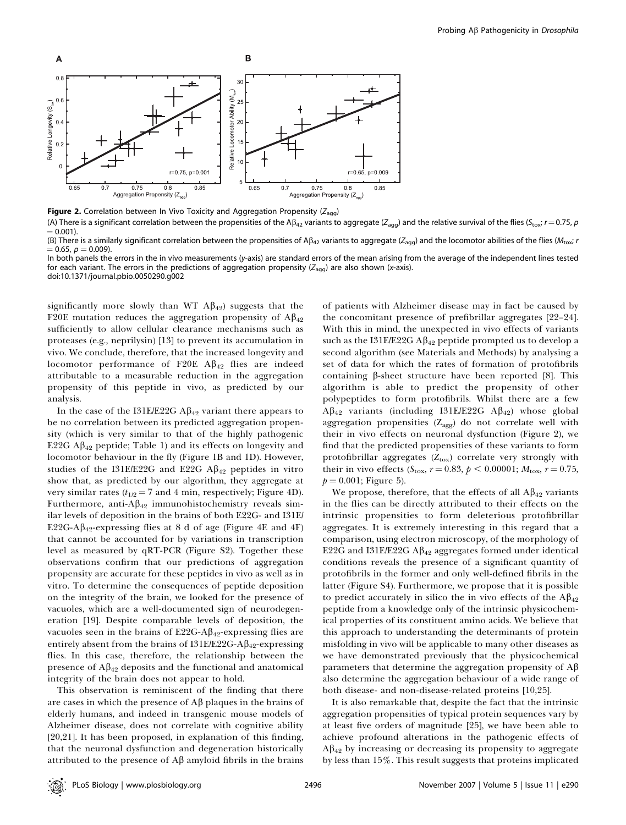

Figure 2. Correlation between In Vivo Toxicity and Aggregation Propensity ( $Z_{agg}$ )

(A) There is a significant correlation between the propensities of the A $\beta_{42}$  variants to aggregate ( $Z_{\text{aq}}$ ) and the relative survival of the flies ( $S_{\text{tox}}$ ;  $r = 0.75$ , p  $= 0.001$ . (B) There is a similarly significant correlation between the propensities of A $\beta_{42}$  variants to aggregate ( $Z_{agg}$ ) and the locomotor abilities of the flies ( $M_{\text{tox}}$  r

 $= 0.65, p = 0.009.$ In both panels the errors in the in vivo measurements (y-axis) are standard errors of the mean arising from the average of the independent lines tested for each variant. The errors in the predictions of aggregation propensity ( $Z_{agg}$ ) are also shown (x-axis).

doi:10.1371/journal.pbio.0050290.g002

significantly more slowly than WT  $A\beta_{42}$ ) suggests that the F20E mutation reduces the aggregation propensity of  $A\beta_{42}$ sufficiently to allow cellular clearance mechanisms such as proteases (e.g., neprilysin) [13] to prevent its accumulation in vivo. We conclude, therefore, that the increased longevity and locomotor performance of F20E  $\mathbf{A}\beta_{42}$  flies are indeed attributable to a measurable reduction in the aggregation propensity of this peptide in vivo, as predicted by our analysis.

In the case of the I31E/E22G  $\mathbf{A}\beta_{42}$  variant there appears to be no correlation between its predicted aggregation propensity (which is very similar to that of the highly pathogenic E22G  $\mathbf{A}\beta_{42}$  peptide; Table 1) and its effects on longevity and locomotor behaviour in the fly (Figure 1B and 1D). However, studies of the I31E/E22G and E22G  $\mathbf{A}\beta_{42}$  peptides in vitro show that, as predicted by our algorithm, they aggregate at very similar rates  $(t_{1/2} = 7$  and 4 min, respectively; Figure 4D). Furthermore, anti- $A\beta_{42}$  immunohistochemistry reveals similar levels of deposition in the brains of both E22G- and I31E/ E22G-A $\beta_{42}$ -expressing flies at 8 d of age (Figure 4E and 4F) that cannot be accounted for by variations in transcription level as measured by qRT-PCR (Figure S2). Together these observations confirm that our predictions of aggregation propensity are accurate for these peptides in vivo as well as in vitro. To determine the consequences of peptide deposition on the integrity of the brain, we looked for the presence of vacuoles, which are a well-documented sign of neurodegeneration [19]. Despite comparable levels of deposition, the vacuoles seen in the brains of E22G-A $\beta_{42}$ -expressing flies are entirely absent from the brains of  $131E/E22G-A\beta_{42}$ -expressing flies. In this case, therefore, the relationship between the presence of  $A\beta_{42}$  deposits and the functional and anatomical integrity of the brain does not appear to hold.

This observation is reminiscent of the finding that there are cases in which the presence of  $A\beta$  plaques in the brains of elderly humans, and indeed in transgenic mouse models of Alzheimer disease, does not correlate with cognitive ability [20,21]. It has been proposed, in explanation of this finding, that the neuronal dysfunction and degeneration historically attributed to the presence of  $A\beta$  amyloid fibrils in the brains

of patients with Alzheimer disease may in fact be caused by the concomitant presence of prefibrillar aggregates [22–24]. With this in mind, the unexpected in vivo effects of variants such as the I31E/E22G  $\mathbf{A}\beta_{42}$  peptide prompted us to develop a second algorithm (see Materials and Methods) by analysing a set of data for which the rates of formation of protofibrils containing  $\beta$ -sheet structure have been reported [8]. This algorithm is able to predict the propensity of other polypeptides to form protofibrils. Whilst there are a few  $A\beta_{42}$  variants (including I31E/E22G  $A\beta_{42}$ ) whose global aggregation propensities  $(Z_{\text{agg}})$  do not correlate well with their in vivo effects on neuronal dysfunction (Figure 2), we find that the predicted propensities of these variants to form protofibrillar aggregates  $(Z_{\text{tox}})$  correlate very strongly with their in vivo effects (S<sub>tox</sub>,  $r = 0.83$ ,  $p < 0.00001$ ;  $M_{\text{tox}}$ ,  $r = 0.75$ ,  $p = 0.001$ ; Figure 5).

We propose, therefore, that the effects of all  $A\beta_{42}$  variants in the flies can be directly attributed to their effects on the intrinsic propensities to form deleterious protofibrillar aggregates. It is extremely interesting in this regard that a comparison, using electron microscopy, of the morphology of E22G and I31E/E22G  $\mathbf{A}\beta_{42}$  aggregates formed under identical conditions reveals the presence of a significant quantity of protofibrils in the former and only well-defined fibrils in the latter (Figure S4). Furthermore, we propose that it is possible to predict accurately in silico the in vivo effects of the  $A\beta_{42}$ peptide from a knowledge only of the intrinsic physicochemical properties of its constituent amino acids. We believe that this approach to understanding the determinants of protein misfolding in vivo will be applicable to many other diseases as we have demonstrated previously that the physicochemical parameters that determine the aggregation propensity of  $A\beta$ also determine the aggregation behaviour of a wide range of both disease- and non-disease-related proteins [10,25].

It is also remarkable that, despite the fact that the intrinsic aggregation propensities of typical protein sequences vary by at least five orders of magnitude [25], we have been able to achieve profound alterations in the pathogenic effects of  $A\beta_{42}$  by increasing or decreasing its propensity to aggregate by less than 15%. This result suggests that proteins implicated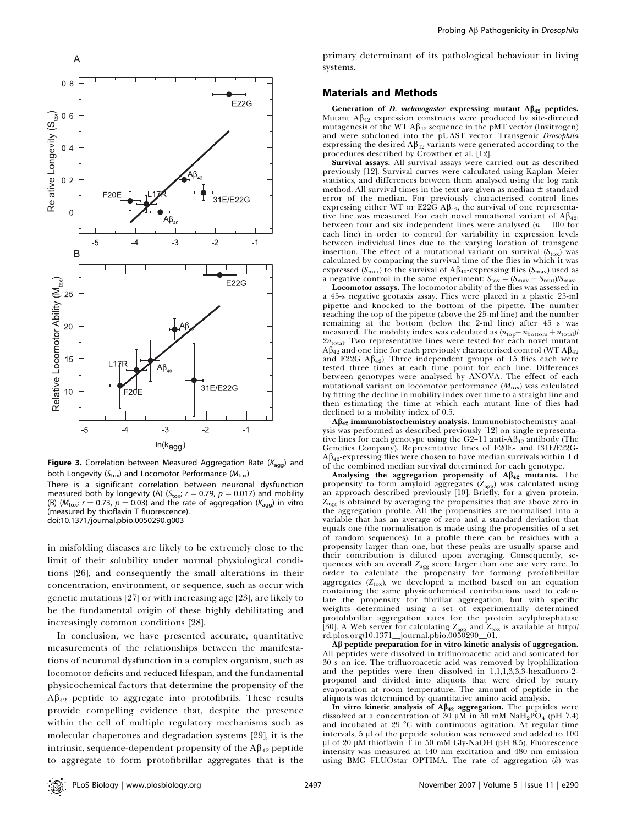

Figure 3. Correlation between Measured Aggregation Rate ( $K_{\text{agg}}$ ) and both Longevity ( $S_{\text{tox}}$ ) and Locomotor Performance ( $M_{\text{tox}}$ )

There is a significant correlation between neuronal dysfunction measured both by longevity (A) ( $S_{\text{tox}}$ ;  $r = 0.79$ ,  $p = 0.017$ ) and mobility (B) ( $M_{\text{tox}}$ ;  $r = 0.73$ ,  $p = 0.03$ ) and the rate of aggregation ( $K_{\text{agg}}$ ) in vitro (measured by thioflavin T fluorescence). doi:10.1371/journal.pbio.0050290.g003

in misfolding diseases are likely to be extremely close to the limit of their solubility under normal physiological conditions [26], and consequently the small alterations in their concentration, environment, or sequence, such as occur with genetic mutations [27] or with increasing age [23], are likely to be the fundamental origin of these highly debilitating and increasingly common conditions [28].

In conclusion, we have presented accurate, quantitative measurements of the relationships between the manifestations of neuronal dysfunction in a complex organism, such as locomotor deficits and reduced lifespan, and the fundamental physicochemical factors that determine the propensity of the  $A\beta_{42}$  peptide to aggregate into protofibrils. These results provide compelling evidence that, despite the presence within the cell of multiple regulatory mechanisms such as molecular chaperones and degradation systems [29], it is the intrinsic, sequence-dependent propensity of the  $A\beta_{42}$  peptide to aggregate to form protofibrillar aggregates that is the

primary determinant of its pathological behaviour in living systems.

#### Materials and Methods

Generation of D. melanogaster expressing mutant  $A\beta_{42}$  peptides. Mutant  $A\beta_{42}$  expression constructs were produced by site-directed mutagenesis of the WT  $A\beta_{42}$  sequence in the pMT vector (Invitrogen) and were subcloned into the pUAST vector. Transgenic Drosophila expressing the desired  $A\beta_{42}$  variants were generated according to the procedures described by Crowther et al. [12].

Survival assays. All survival assays were carried out as described previously [12]. Survival curves were calculated using Kaplan–Meier statistics, and differences between them analysed using the log rank method. All survival times in the text are given as median  $\pm$  standard error of the median. For previously characterised control lines expressing either WT or E22G  $\mathbf{A}\beta_{42}$ , the survival of one representative line was measured. For each novel mutational variant of  $A\beta_{42}$ , between four and six independent lines were analysed ( $n = 100$  for each line) in order to control for variability in expression levels between individual lines due to the varying location of transgene insertion. The effect of a mutational variant on survival  $(S_{\text{tox}})$  was calculated by comparing the survival time of the flies in which it was expressed ( $S<sub>mut</sub>$ ) to the survival of A $\beta<sub>40</sub>$ -expressing flies ( $S<sub>max</sub>$ ) used as a negative control in the same experiment:  $S_{\text{tox}} = (S_{\text{max}} - S_{\text{mut}})/S_{\text{max}}$ .

Locomotor assays. The locomotor ability of the flies was assessed in a 45-s negative geotaxis assay. Flies were placed in a plastic 25-ml pipette and knocked to the bottom of the pipette. The number reaching the top of the pipette (above the 25-ml line) and the number remaining at the bottom (below the 2-ml line) after 45 s was measured. The mobility index was calculated as  $(n_{\rm top}-n_{\rm bottom}+n_{\rm total})/n$  $2n_{\text{total}}$ . Two representative lines were tested for each novel mutant  $A\beta_{42}$  and one line for each previously characterised control (WT  $A\beta_{42}$ ) and E22G  $A\beta_{42}$ ). Three independent groups of 15 flies each were tested three times at each time point for each line. Differences between genotypes were analysed by ANOVA. The effect of each mutational variant on locomotor performance  $(M_{\text{tox}})$  was calculated by fitting the decline in mobility index over time to a straight line and then estimating the time at which each mutant line of flies had declined to a mobility index of 0.5.

 $A\beta_{42}$  immunohistochemistry analysis. Immunohistochemistry analysis was performed as described previously [12] on single representative lines for each genotype using the G2–11 anti-A $\beta_{42}$  antibody (The Genetics Company). Representative lines of F20E- and I31E/E22G- $A\beta_{42}$  expressing flies were chosen to have median survivals within 1 d of the combined median survival determined for each genotype.

Analysing the aggregation propensity of  $A\beta_{42}$  mutants. The propensity to form amyloid aggregates (Z<sub>agg</sub>) was calculated using<br>an approach described previously [10]. Briefly, for a given protein,  $Z_{\text{agg}}$  is obtained by averaging the propensities that are above zero in the aggregation profile. All the propensities are normalised into a variable that has an average of zero and a standard deviation that equals one (the normalisation is made using the propensities of a set of random sequences). In a profile there can be residues with a propensity larger than one, but these peaks are usually sparse and their contribution is diluted upon averaging. Consequently, sequences with an overall  $Z_{\text{agg}}$  score larger than one are very rare. In order to calculate the propensity for forming protofibrillar aggregates  $(Z<sub>tox</sub>)$ , we developed a method based on an equation containing the same physicochemical contributions used to calculate the propensity for fibrillar aggregation, but with specific weights determined using a set of experimentally determined protofibrillar aggregation rates for the protein acylphosphatase [30]. A Web server for calculating Z<sub>agg</sub> and Z<sub>tox</sub> is available at http://<br>rd.plos.org/10.1371\_journal.pbio.0050290\_01.

Ab peptide preparation for in vitro kinetic analysis of aggregation. All peptides were dissolved in trifluoroacetic acid and sonicated for 30 s on ice. The trifluoroacetic acid was removed by lyophilization and the peptides were then dissolved in 1,1,1,3,3,3-hexafluoro-2 propanol and divided into aliquots that were dried by rotary evaporation at room temperature. The amount of peptide in the aliquots was determined by quantitative amino acid analysis.

In vitro kinetic analysis of  $A\beta_{42}$  aggregation. The peptides were dissolved at a concentration of 30  $\mu$ M in 50 mM NaH<sub>2</sub>PO<sub>4</sub> (pH 7.4) and incubated at 29  $^{\circ}$ C with continuous agitation. At regular time intervals,  $5 \mu$ l of the peptide solution was removed and added to  $100$ ul of 20  $\mu$ M thioflavin T in 50 mM Gly-NaOH (pH 8.5). Fluorescence intensity was measured at 440 nm excitation and 480 nm emission using BMG FLUOstar OPTIMA. The rate of aggregation  $(k)$  was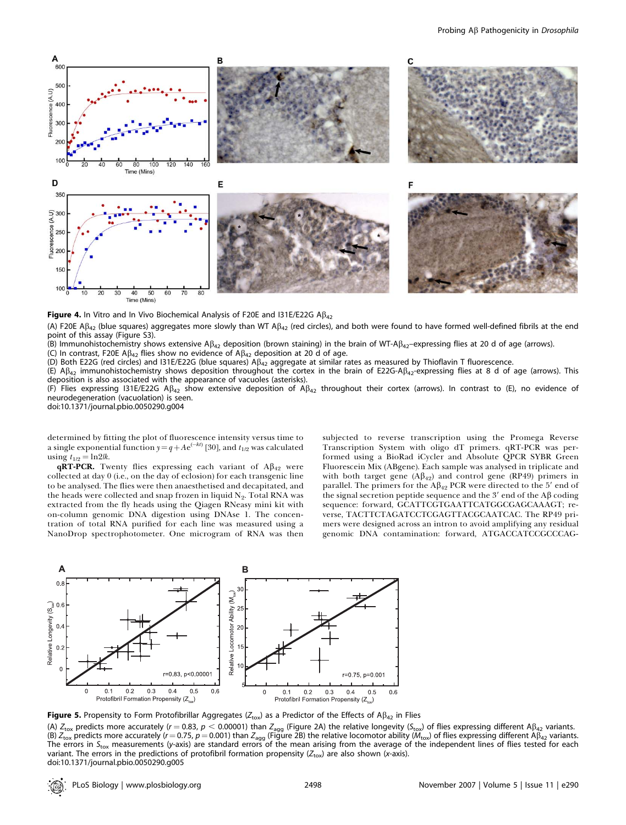

Figure 4. In Vitro and In Vivo Biochemical Analysis of F20E and I31E/E22G  $AB_{42}$ 

(A) F20E A $\beta_{42}$  (blue squares) aggregates more slowly than WT A $\beta_{42}$  (red circles), and both were found to have formed well-defined fibrils at the end point of this assay (Figure S3).

(B) Immunohistochemistry shows extensive A $\beta_{42}$  deposition (brown staining) in the brain of WT-A $\beta_{42}$ –expressing flies at 20 d of age (arrows).

(C) In contrast, F20E A $\beta_{42}$  flies show no evidence of A $\beta_{42}$  deposition at 20 d of age.

(D) Both E22G (red circles) and I31E/E22G (blue squares) A $\beta_{42}$  aggregate at similar rates as measured by Thioflavin T fluorescence.

(E)  $\mathsf{AB}_{42}$  immunohistochemistry shows deposition throughout the cortex in the brain of E22G-A $\mathsf{BA}_{42}$ -expressing flies at 8 d of age (arrows). This deposition is also associated with the appearance of vacuoles (asterisks).

(F) Flies expressing I31E/E22G A $\beta_{42}$  show extensive deposition of A $\beta_{42}$  throughout their cortex (arrows). In contrast to (E), no evidence of neurodegeneration (vacuolation) is seen.

doi:10.1371/journal.pbio.0050290.g004

determined by fitting the plot of fluorescence intensity versus time to a single exponential function  $y\!=\!q\!+\!A\mathrm{e}^{(-kt)}$  [30], and  $t_{1/2}$  was calculated using  $t_{1/2} = \ln 2/k$ .

 $qRT-PCR$ . Twenty flies expressing each variant of  $A\beta_{42}$  were collected at day 0 (i.e., on the day of eclosion) for each transgenic line to be analysed. The flies were then anaesthetised and decapitated, and the heads were collected and snap frozen in liquid  $N_2$ . Total RNA was extracted from the fly heads using the Qiagen RNeasy mini kit with on-column genomic DNA digestion using DNAse 1. The concentration of total RNA purified for each line was measured using a NanoDrop spectrophotometer. One microgram of RNA was then subjected to reverse transcription using the Promega Reverse Transcription System with oligo dT primers. qRT-PCR was performed using a BioRad iCycler and Absolute QPCR SYBR Green Fluorescein Mix (ABgene). Each sample was analysed in triplicate and with both target gene  $(A\beta_{42})$  and control gene (RP49) primers in parallel. The primers for the  $A\beta_{42}$  PCR were directed to the 5' end of the signal secretion peptide sequence and the 3' end of the  $\Lambda\beta$  coding sequence: forward, GCATTCGTGAATTCATGGCGAGCAAAGT; reverse, TACTTCTAGATCCTCGAGTTACGCAATCAC. The RP49 primers were designed across an intron to avoid amplifying any residual genomic DNA contamination: forward, ATGACCATCCGCCCAG-



Figure 5. Propensity to Form Protofibrillar Aggregates ( $Z_{\text{tox}}$ ) as a Predictor of the Effects of A $\beta_{42}$  in Flies

(A)  $Z_{\text{tox}}$  predicts more accurately (r = 0.83, p < 0.00001) than  $Z_{\text{agg}}$  (Figure 2A) the relative longevity ( $S_{\text{tox}}$ ) of flies expressing different A $\beta_{42}$  variants. (B)  $Z_{\text{tox}}$  predicts more accurately (r = 0.75, p = 0.001) than  $Z_{\text{aq}}$  (Figure 2B) the relative locomotor ability ( $M_{\text{tox}}$ ) of flies expressing different A $\beta_{42}$  variants. The errors in S<sub>tox</sub> measurements (y-axis) are standard errors of the mean arising from the average of the independent lines of flies tested for each variant. The errors in the predictions of protofibril formation propensity ( $Z_{\text{tox}}$ ) are also shown (x-axis). doi:10.1371/journal.pbio.0050290.g005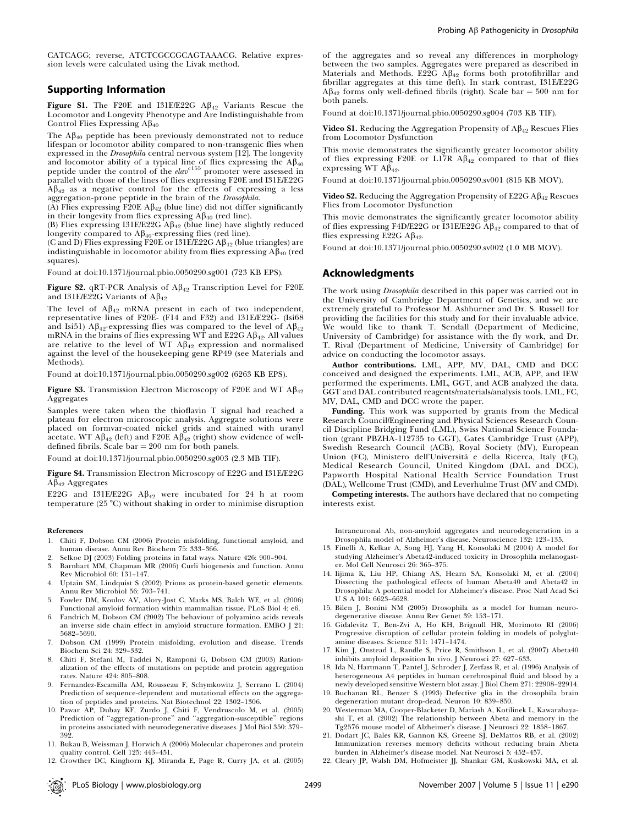CATCAGG; reverse, ATCTCGCCGCAGTAAACG. Relative expression levels were calculated using the Livak method.

#### Supporting Information

Figure S1. The F20E and I31E/E22G  $\mathbf{A}\beta_{42}$  Variants Rescue the Locomotor and Longevity Phenotype and Are Indistinguishable from Control Flies Expressing  $\text{AB}_{40}$ 

The  $A\beta_{40}$  peptide has been previously demonstrated not to reduce lifespan or locomotor ability compared to non-transgenic flies when expressed in the Drosophila central nervous system [12]. The longevity and locomotor ability of a typical line of flies expressing the  $\mathbf{A}\beta_{40}$  peptide under the control of the *elav*<sup>c155</sup> promoter were assessed in parallel with those of the lines of flies expressing F20E and I31E/E22G  $A\beta_{42}$  as a negative control for the effects of expressing a less aggregation-prone peptide in the brain of the Drosophila.

(A) Flies expressing F20E  $\mathbf{A}\beta_{42}$  (blue line) did not differ significantly in their longevity from flies expressing  $A\beta_{40}$  (red line).

(B) Flies expressing I31E/E22G  $\widehat{A}\widehat{B}_{42}$  (blue line) have slightly reduced longevity compared to  $A\beta_{40}$ -expressing flies (red line).

(C and D) Flies expressing  $\overline{F20E}$  or I31E/E22G A $\beta_{42}$  (blue triangles) are indistinguishable in locomotor ability from flies expressing  $A\beta_{40}$  (red squares).

Found at doi:10.1371/journal.pbio.0050290.sg001 (723 KB EPS).

Figure S2. qRT-PCR Analysis of  $A\beta_{42}$  Transcription Level for F20E and I31E/E22G Variants of  $A\beta_{42}$ 

The level of  $\mathbf{A}\beta_{42}$  mRNA present in each of two independent, representative lines of F20E- (F14 and F32) and I31E/E22G- (Isi68 and Isi51) A $\beta_{42}$ -expressing flies was compared to the level of A $\beta_{42}$ mRNA in the brains of flies expressing WT and E22G A $\beta_{42}$ . All values are relative to the level of  $WT A\beta_{42}$  expression and normalised against the level of the housekeeping gene RP49 (see Materials and Methods).

Found at doi:10.1371/journal.pbio.0050290.sg002 (6263 KB EPS).

Figure S3. Transmission Electron Microscopy of F20E and WT  $\mathbf{A}\mathbf{\beta}_{42}$ Aggregates

Samples were taken when the thioflavin T signal had reached a plateau for electron microscopic analysis. Aggregate solutions were placed on formvar-coated nickel grids and stained with uranyl acetate. WT A $\beta_{42}$  (left) and F20E A $\beta_{42}$  (right) show evidence of welldefined fibrils. Scale  $bar = 200$  nm for both panels.

Found at doi:10.1371/journal.pbio.0050290.sg003 (2.3 MB TIF).

Figure S4. Transmission Electron Microscopy of E22G and I31E/E22G  $A\beta_{42}$  Aggregates

E22G and I31E/E22G  $\mathbf{A}\beta_{42}$  were incubated for 24 h at room temperature (25 $\degree$ C) without shaking in order to minimise disruption

#### References

- 1. Chiti F, Dobson CM (2006) Protein misfolding, functional amyloid, and human disease. Annu Rev Biochem 75: 333–366.
- 2. Selkoe DJ (2003) Folding proteins in fatal ways. Nature 426: 900–904.
- 3. Barnhart MM, Chapman MR (2006) Curli biogenesis and function. Annu Rev Microbiol 60: 131–147.
- 4. Uptain SM, Lindquist S (2002) Prions as protein-based genetic elements. Annu Rev Microbiol 56: 703–741.
- 5. Fowler DM, Koulov AV, Alory-Jost C, Marks MS, Balch WE, et al. (2006) Functional amyloid formation within mammalian tissue. PLoS Biol 4: e6.
- 6. Fandrich M, Dobson CM (2002) The behaviour of polyamino acids reveals an inverse side chain effect in amyloid structure formation. EMBO J 21: 5682–5690.
- 7. Dobson CM (1999) Protein misfolding, evolution and disease. Trends Biochem Sci 24: 329–332.
- 8. Chiti F, Stefani M, Taddei N, Ramponi G, Dobson CM (2003) Rationalization of the effects of mutations on peptide and protein aggregation rates. Nature 424: 805–808.
- 9. Fernandez-Escamilla AM, Rousseau F, Schymkowitz J, Serrano L (2004) Prediction of sequence-dependent and mutational effects on the aggregation of peptides and proteins. Nat Biotechnol 22: 1302–1306.
- 10. Pawar AP, Dubay KF, Zurdo J, Chiti F, Vendruscolo M, et al. (2005) Prediction of ''aggregation-prone'' and ''aggregation-susceptible'' regions in proteins associated with neurodegenerative diseases. J Mol Biol 350: 379– 392.
- 11. Bukau B, Weissman J, Horwich A (2006) Molecular chaperones and protein quality control. Cell 125: 443–451.
- 12. Crowther DC, Kinghorn KJ, Miranda E, Page R, Curry JA, et al. (2005)

of the aggregates and so reveal any differences in morphology between the two samples. Aggregates were prepared as described in Materials and Methods. E22G  $\widehat{A}\beta_{42}$  forms both protofibrillar and fibrillar aggregates at this time (left). In stark contrast, I31E/E22G  $A\beta_{42}$  forms only well-defined fibrils (right). Scale bar = 500 nm for both panels.

Found at doi:10.1371/journal.pbio.0050290.sg004 (703 KB TIF).

Video S1. Reducing the Aggregation Propensity of  $A\beta_{42}$  Rescues Flies from Locomotor Dysfunction

This movie demonstrates the significantly greater locomotor ability of flies expressing F20E or L17R  $\mathbf{A}\beta_{42}$  compared to that of flies expressing WT  $\widehat{AB}_{42}$ .

Found at doi:10.1371/journal.pbio.0050290.sv001 (815 KB MOV).

Video S2. Reducing the Aggregation Propensity of E22G  $\mathbf{A}\beta_{42}$  Rescues Flies from Locomotor Dysfunction

This movie demonstrates the significantly greater locomotor ability of flies expressing F4D/E22G or  $I31E/E22G$  A $\beta_{42}$  compared to that of flies expressing E22G  $\mathbf{A}\beta_{42}$ .

Found at doi:10.1371/journal.pbio.0050290.sv002 (1.0 MB MOV).

### Acknowledgments

The work using Drosophila described in this paper was carried out in the University of Cambridge Department of Genetics, and we are extremely grateful to Professor M. Ashburner and Dr. S. Russell for providing the facilities for this study and for their invaluable advice. We would like to thank T. Sendall (Department of Medicine, University of Cambridge) for assistance with the fly work, and Dr. T. Rival (Department of Medicine, University of Cambridge) for advice on conducting the locomotor assays.

Author contributions. LML, APP, MV, DAL, CMD and DCC conceived and designed the experiments. LML, ACB, APP, and IEW performed the experiments. LML, GGT, and ACB analyzed the data. GGT and DAL contributed reagents/materials/analysis tools. LML, FC, MV, DAL, CMD and DCC wrote the paper.

Funding. This work was supported by grants from the Medical Research Council/Engineering and Physical Sciences Research Council Discipline Bridging Fund (LML), Swiss National Science Foundation (grant PBZHA-112735 to GGT), Gates Cambridge Trust (APP), Swedish Research Council (ACB), Royal Society (MV), European Union (FC), Ministero dell'Universita` e della Ricerca, Italy (FC), Medical Research Council, United Kingdom (DAL and DCC), Papworth Hospital National Health Service Foundation Trust (DAL), Wellcome Trust (CMD), and Leverhulme Trust (MV and CMD).

Competing interests. The authors have declared that no competing interests exist.

Intraneuronal Ab, non-amyloid aggregates and neurodegeneration in a Drosophila model of Alzheimer's disease. Neuroscience 132: 123–135.

- 13. Finelli A, Kelkar A, Song HJ, Yang H, Konsolaki M (2004) A model for studying Alzheimer's Abeta42-induced toxicity in Drosophila melanogaster. Mol Cell Neurosci 26: 365–375.
- 14. Iijima K, Liu HP, Chiang AS, Hearn SA, Konsolaki M, et al. (2004) Dissecting the pathological effects of human Abeta40 and Abeta42 in Drosophila: A potential model for Alzheimer's disease. Proc Natl Acad Sci U S A 101: 6623–6628.
- 15. Bilen J, Bonini NM (2005) Drosophila as a model for human neurodegenerative disease. Annu Rev Genet 39: 153–171.
- 16. Gidalevitz T, Ben-Zvi A, Ho KH, Brignull HR, Morimoto RI (2006) Progressive disruption of cellular protein folding in models of polyglutamine diseases. Science 311: 1471–1474.
- 17. Kim J, Onstead L, Randle S, Price R, Smithson L, et al. (2007) Abeta40 inhibits amyloid deposition In vivo. J Neurosci 27: 627–633.
- 18. Ida N, Hartmann T, Pantel J, Schroder J, Zerfass R, et al. (1996) Analysis of heterogeneous A4 peptides in human cerebrospinal fluid and blood by a newly developed sensitive Western blot assay. J Biol Chem 271: 22908–22914.
- 19. Buchanan RL, Benzer S (1993) Defective glia in the drosophila brain degeneration mutant drop-dead. Neuron 10: 839–850.
- 20. Westerman MA, Cooper-Blacketer D, Mariash A, Kotilinek L, Kawarabayashi T, et al. (2002) The relationship between Abeta and memory in the Tg2576 mouse model of Alzheimer's disease. J Neurosci 22: 1858–1867.
- 21. Dodart JC, Bales KR, Gannon KS, Greene SJ, DeMattos RB, et al. (2002) Immunization reverses memory deficits without reducing brain Abeta burden in Alzheimer's disease model. Nat Neurosci 5: 452–457.
- 22. Cleary JP, Walsh DM, Hofmeister JJ, Shankar GM, Kuskowski MA, et al.